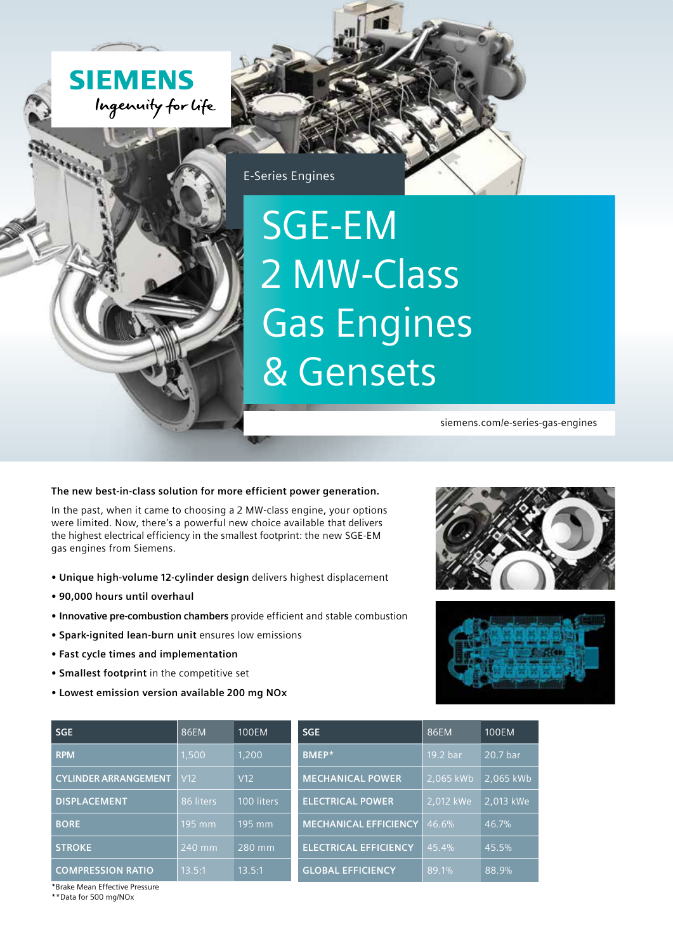



E-Series Engines

## SGE-EM 2 MW-Class Gas Engines & Gensets

siemens.com/e-series-gas-engines

## **The new best-in-class solution for more efficient power generation.**

In the past, when it came to choosing a 2 MW-class engine, your options were limited. Now, there's a powerful new choice available that delivers the highest electrical efficiency in the smallest footprint: the new SGE-EM gas engines from Siemens.

- **Unique high-volume 12-cylinder design** delivers highest displacement
- **90,000 hours until overhaul**
- **Innovative pre-combustion chambers** provide efficient and stable combustion
- **Spark-ignited lean-burn unit** ensures low emissions
- **Fast cycle times and implementation**
- **Smallest footprint** in the competitive set
- **Lowest emission version available 200 mg NOx**





| <b>SGE</b>                  | 86EM            | <b>100EM</b> | <b>SGE</b>                   | 86EM      | <b>100EM</b> |
|-----------------------------|-----------------|--------------|------------------------------|-----------|--------------|
| <b>RPM</b>                  | 1,500           | 1,200        | <b>BMEP*</b>                 | 19.2 bar  | 20.7 bar     |
| <b>CYLINDER ARRANGEMENT</b> | V <sub>12</sub> | V12          | <b>MECHANICAL POWER</b>      | 2,065 kWb | 2,065 kWb    |
| <b>DISPLACEMENT</b>         | 86 liters       | 100 liters   | <b>ELECTRICAL POWER</b>      | 2,012 kWe | 2.013 kWe    |
| <b>BORE</b>                 | $195$ mm        | 195 mm       | <b>MECHANICAL EFFICIENCY</b> | 46.6%     | 46.7%        |
| <b>STROKE</b>               | 240 mm          | 280 mm       | <b>ELECTRICAL EFFICIENCY</b> | 45.4%     | 45.5%        |
| <b>COMPRESSION RATIO</b>    | 13.5:1          | 13.5:1       | <b>GLOBAL EFFICIENCY</b>     | $89.1\%$  | 88.9%        |

\*Brake Mean Effective Pressure

\*\*Data for 500 mg/NOx